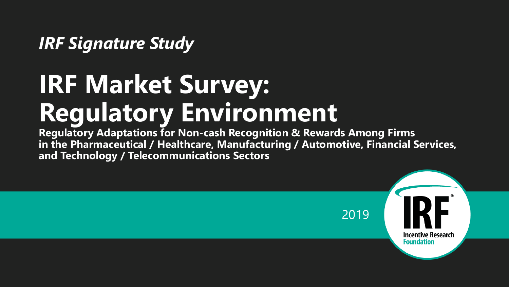#### *IRF Signature Study*

# **IRF Market Survey: Regulatory Environment**

**Regulatory Adaptations for Non-cash Recognition & Rewards Among Firms in the Pharmaceutical / Healthcare, Manufacturing / Automotive, Financial Services, and Technology / Telecommunications Sectors**

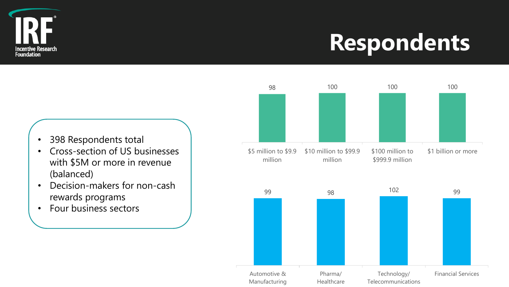

### **Respondents**

- 398 Respondents total
- Cross-section of US businesses with \$5M or more in revenue (balanced)
- Decision-makers for non-cash rewards programs
- Four business sectors

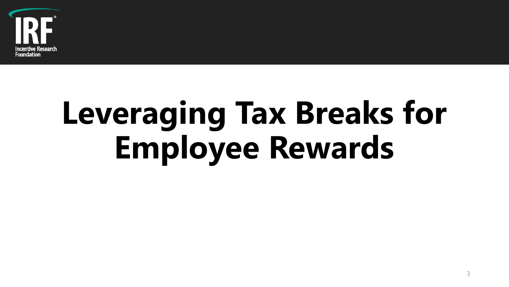

# **Leveraging Tax Breaks for Employee Rewards**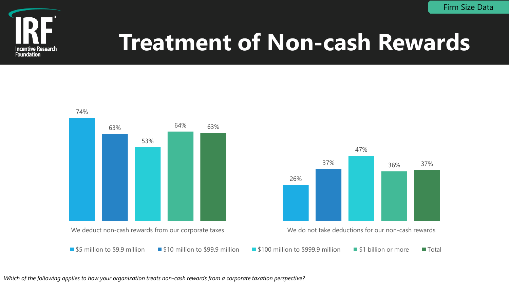Firm Size Data



### **Treatment of Non-cash Rewards**





**Shep 5 million to \$9.9 million** \$10 million to \$99.9 million \$100 million to \$999.9 million \$1 billion or more Total

*Which of the following applies to how your organization treats non-cash rewards from a corporate taxation perspective?*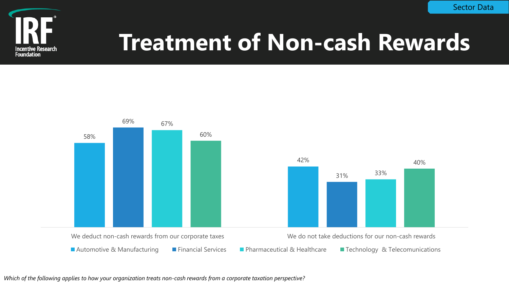

# **Treatment of Non-cash Rewards**



*Which of the following applies to how your organization treats non-cash rewards from a corporate taxation perspective?*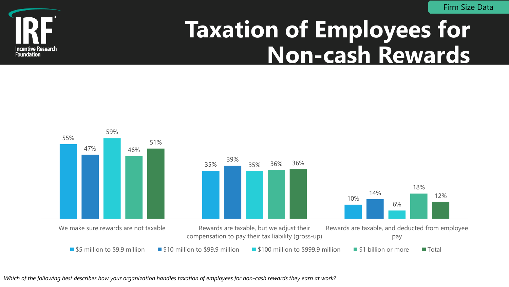Firm Size Data



#### **Taxation of Employees for Non-cash Rewards**



*Which of the following best describes how your organization handles taxation of employees for non-cash rewards they earn at work?*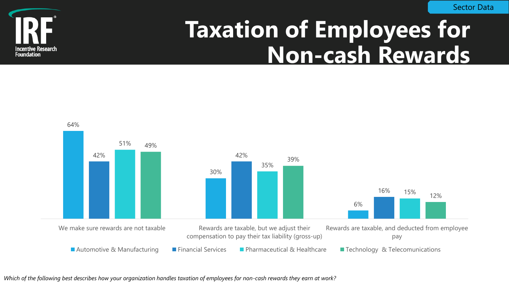Sector Data



#### **Taxation of Employees for Non-cash Rewards**



*Which of the following best describes how your organization handles taxation of employees for non-cash rewards they earn at work?*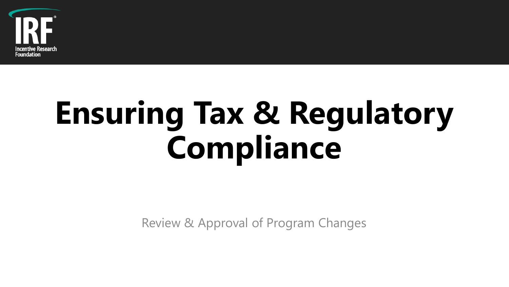

# **Ensuring Tax & Regulatory Compliance**

Review & Approval of Program Changes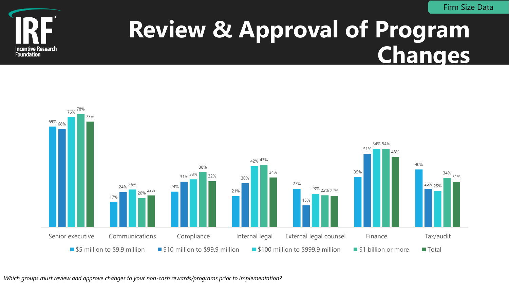

#### **Review & Approval of Program Changes**



*Which groups must review and approve changes to your non-cash rewards/programs prior to implementation?*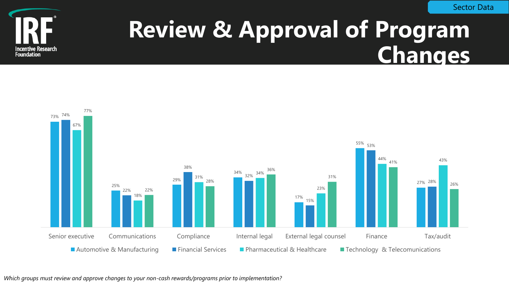

#### **Review & Approval of Program Changes**



*Which groups must review and approve changes to your non-cash rewards/programs prior to implementation?*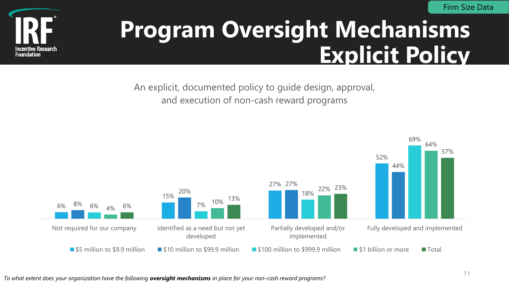

#### **Program Oversight Mechanisms Explicit Policy**

An explicit, documented policy to guide design, approval, and execution of non-cash reward programs

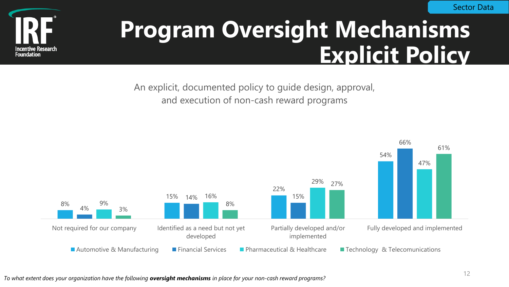

#### **Program Oversight Mechanisms Explicit Policy**

An explicit, documented policy to guide design, approval, and execution of non-cash reward programs

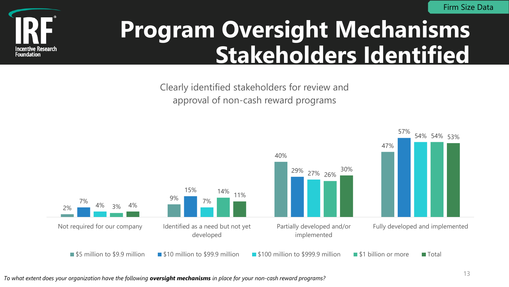

### **Program Oversight Mechanisms Stakeholders Identified**

Clearly identified stakeholders for review and approval of non-cash reward programs

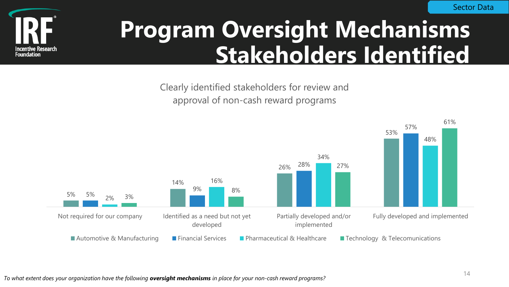

### **Program Oversight Mechanisms Stakeholders Identified**

Clearly identified stakeholders for review and approval of non-cash reward programs

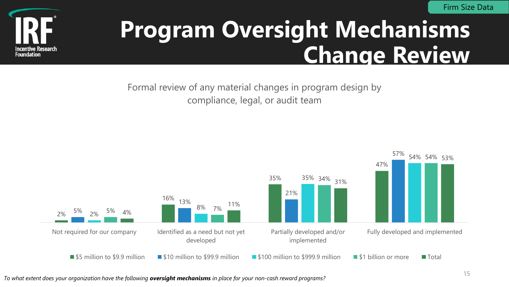

#### **Program Oversight Mechanisms Change Review**

Formal review of any material changes in program design by compliance, legal, or audit team



*To what extent does your organization have the following oversight mechanisms in place for your non-cash reward programs?*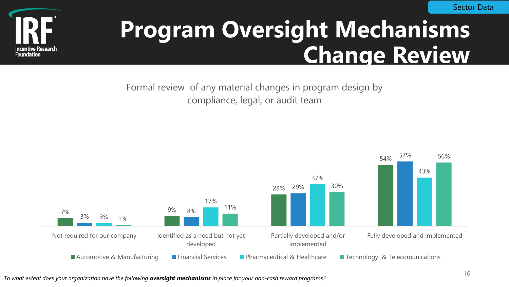

#### **Program Oversight Mechanisms Change Review**

Formal review of any material changes in program design by compliance, legal, or audit team

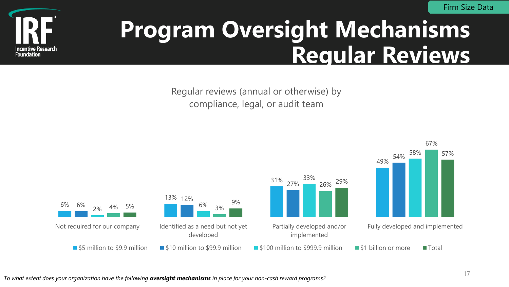

#### **Program Oversight Mechanisms Regular Reviews**

Regular reviews (annual or otherwise) by compliance, legal, or audit team

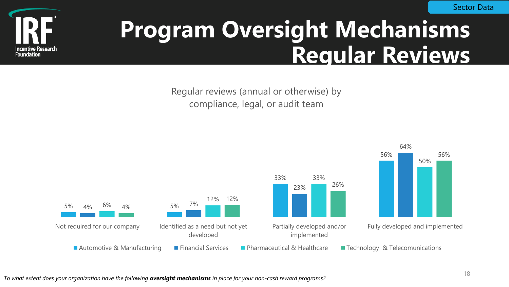

#### **Program Oversight Mechanisms Regular Reviews**

Regular reviews (annual or otherwise) by compliance, legal, or audit team

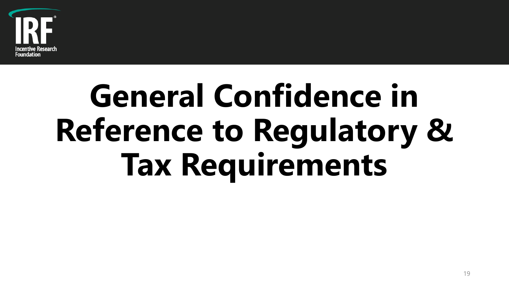

# **General Confidence in Reference to Regulatory & Tax Requirements**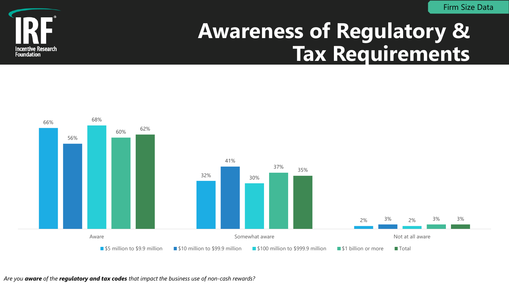

#### **Awareness of Regulatory & Tax Requirements**



*Are you aware of the regulatory and tax codes that impact the business use of non-cash rewards?*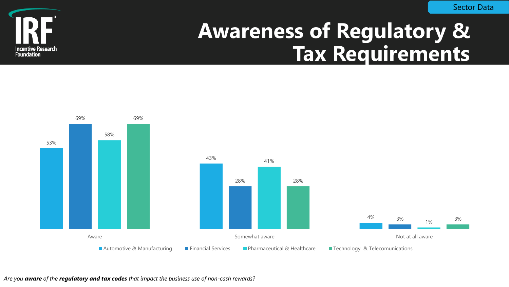

#### **Awareness of Regulatory & Tax Requirements**



*Are you aware of the regulatory and tax codes that impact the business use of non-cash rewards?*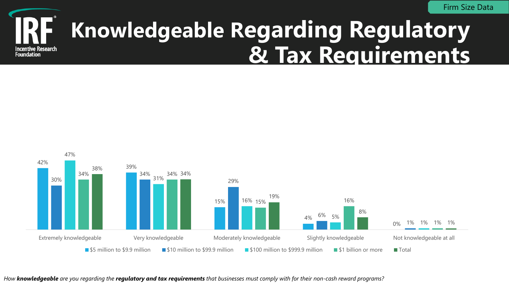

#### **Knowledgeable Regarding Regulatory & Tax Requirements**



*How knowledgeable are you regarding the regulatory and tax requirements that businesses must comply with for their non-cash reward programs?*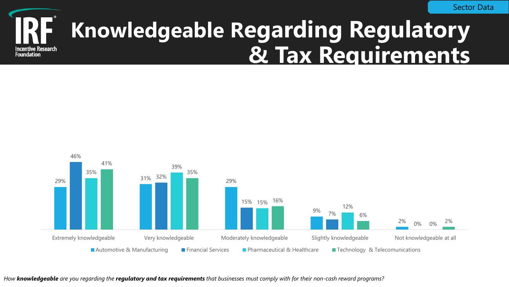

#### **Knowledgeable Regarding Regulatory & Tax Requirements**



*How knowledgeable are you regarding the regulatory and tax requirements that businesses must comply with for their non-cash reward programs?*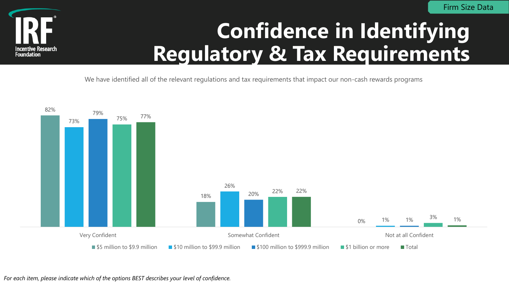

#### **Confidence in Identifying Regulatory & Tax Requirements**

We have identified all of the relevant regulations and tax requirements that impact our non-cash rewards programs

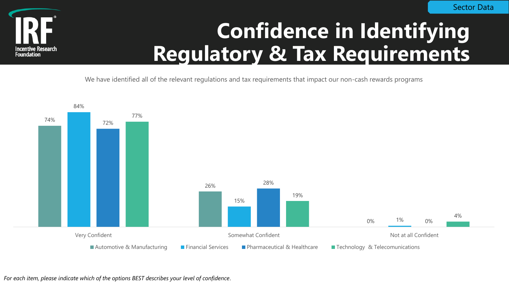

#### **Confidence in Identifying Regulatory & Tax Requirements**

We have identified all of the relevant regulations and tax requirements that impact our non-cash rewards programs



*For each item, please indicate which of the options BEST describes your level of confidence*.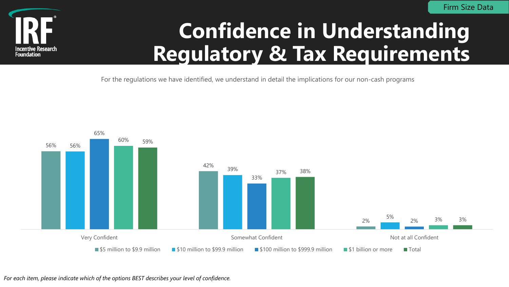

#### **Confidence in Understanding Regulatory & Tax Requirements**

For the regulations we have identified, we understand in detail the implications for our non-cash programs

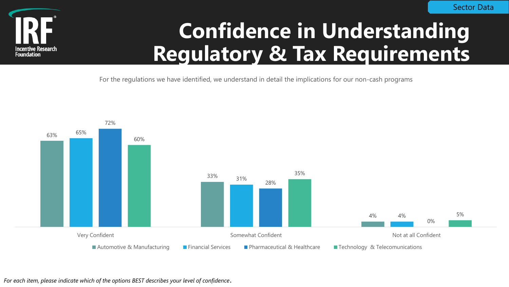

#### **Confidence in Understanding Regulatory & Tax Requirements**

For the regulations we have identified, we understand in detail the implications for our non-cash programs



*For each item, please indicate which of the options BEST describes your level of confidence*.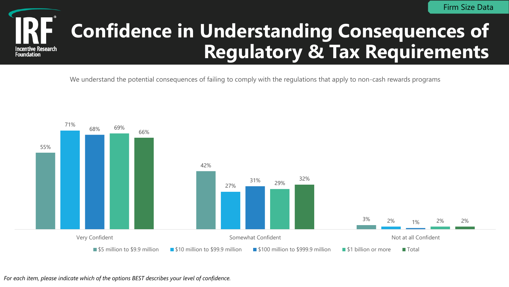

#### **Confidence in Understanding Consequences of Regulatory & Tax Requirements**

We understand the potential consequences of failing to comply with the regulations that apply to non-cash rewards programs

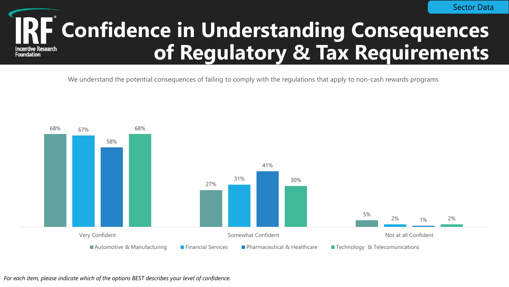#### **Confidence in Understanding Consequences of Regulatory & Tax RequirementsIncentive Research Foundation**

We understand the potential consequences of failing to comply with the regulations that apply to non-cash rewards programs

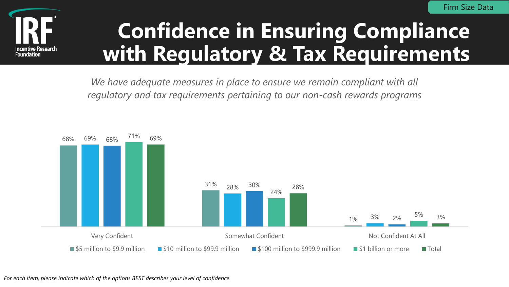

#### **Confidence in Ensuring Compliance with Regulatory & Tax Requirements**

We have adequate measures in place to ensure we remain compliant with all *regulatory and tax requirements pertaining to our non-cash rewards programs*

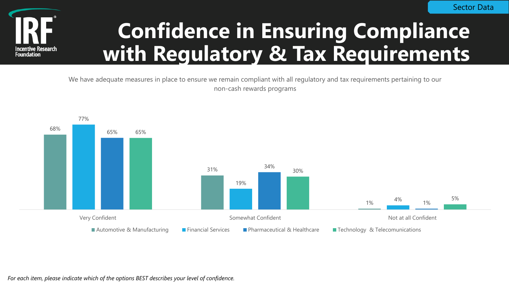

#### **Confidence in Ensuring Compliance with Regulatory & Tax Requirements**

We have adequate measures in place to ensure we remain compliant with all regulatory and tax requirements pertaining to our non-cash rewards programs



*For each item, please indicate which of the options BEST describes your level of confidence.*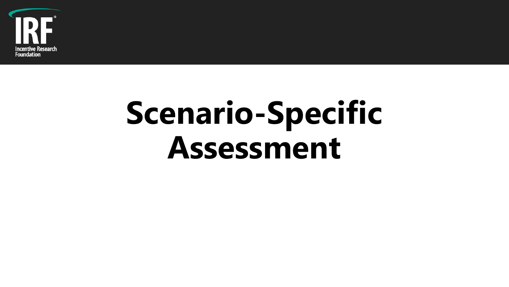

# **Scenario-Specific Assessment**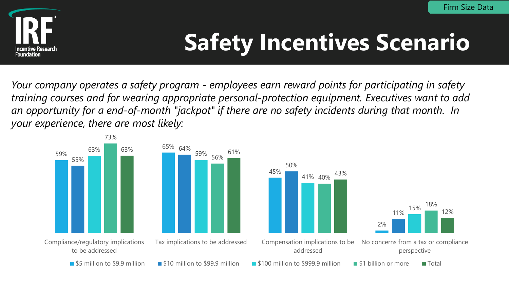

# **Safety Incentives Scenario**

*Your company operates a safety program - employees earn reward points for participating in safety training courses and for wearing appropriate personal-protection equipment. Executives want to add an opportunity for a end-of-month "jackpot" if there are no safety incidents during that month. In your experience, there are most likely:*

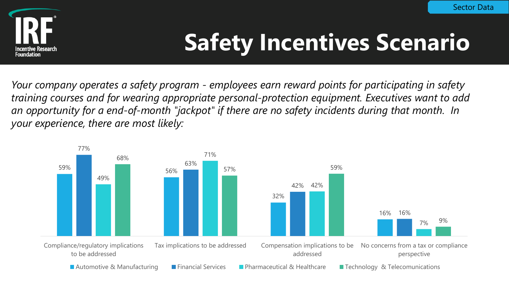

# **Safety Incentives Scenario**

*Your company operates a safety program - employees earn reward points for participating in safety training courses and for wearing appropriate personal-protection equipment. Executives want to add an opportunity for a end-of-month "jackpot" if there are no safety incidents during that month. In your experience, there are most likely:*

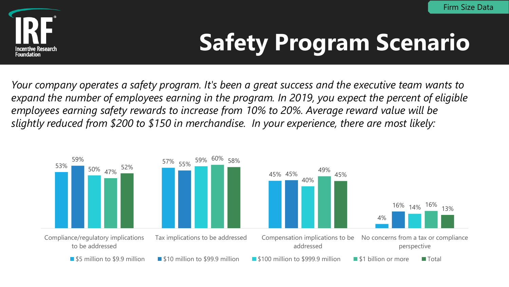

# **Safety Program Scenario**

*Your company operates a safety program. It's been a great success and the executive team wants to expand the number of employees earning in the program. In 2019, you expect the percent of eligible employees earning safety rewards to increase from 10% to 20%. Average reward value will be slightly reduced from \$200 to \$150 in merchandise. In your experience, there are most likely:*

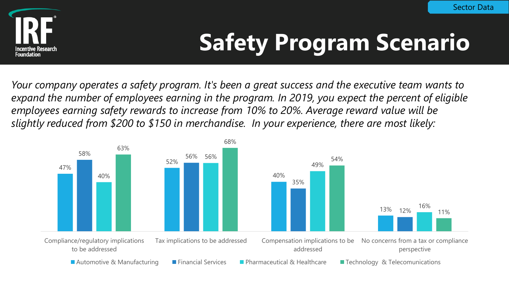

# **Safety Program Scenario**

*Your company operates a safety program. It's been a great success and the executive team wants to expand the number of employees earning in the program. In 2019, you expect the percent of eligible employees earning safety rewards to increase from 10% to 20%. Average reward value will be slightly reduced from \$200 to \$150 in merchandise. In your experience, there are most likely:*

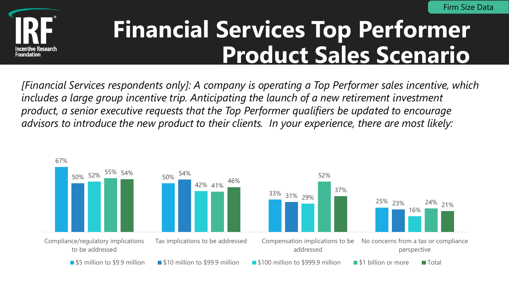

### **Financial Services Top Performer Product Sales Scenario**

*[Financial Services respondents only]: A company is operating a Top Performer sales incentive, which*  includes a large group incentive trip. Anticipating the launch of a new retirement investment *product, a senior executive requests that the Top Performer qualifiers be updated to encourage advisors to introduce the new product to their clients. In your experience, there are most likely:*

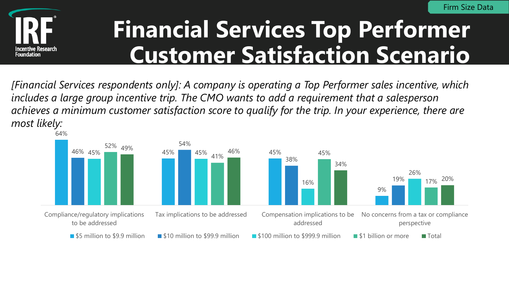

### **Financial Services Top Performer Customer Satisfaction Scenario**

*[Financial Services respondents only]: A company is operating a Top Performer sales incentive, which includes a large group incentive trip. The CMO wants to add a requirement that a salesperson achieves a minimum customer satisfaction score to qualify for the trip. In your experience, there are most likely:*

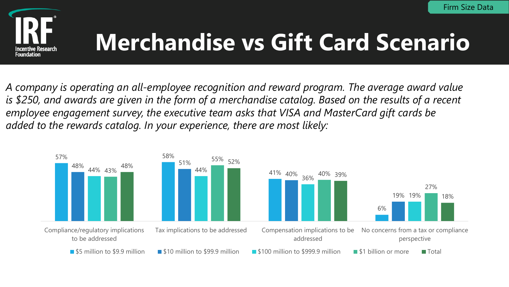

# **Merchandise vs Gift Card Scenario**

*A company is operating an all-employee recognition and reward program. The average award value is \$250, and awards are given in the form of a merchandise catalog. Based on the results of a recent employee engagement survey, the executive team asks that VISA and MasterCard gift cards be added to the rewards catalog. In your experience, there are most likely:*

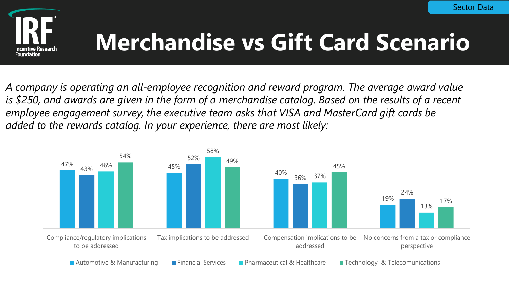

# **Merchandise vs Gift Card Scenario**

*A company is operating an all-employee recognition and reward program. The average award value is \$250, and awards are given in the form of a merchandise catalog. Based on the results of a recent employee engagement survey, the executive team asks that VISA and MasterCard gift cards be added to the rewards catalog. In your experience, there are most likely:*

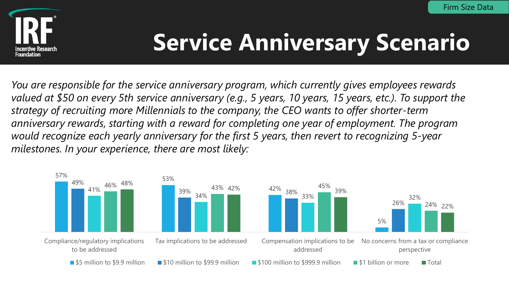

# **Service Anniversary Scenario**

*You are responsible for the service anniversary program, which currently gives employees rewards valued at \$50 on every 5th service anniversary (e.g., 5 years, 10 years, 15 years, etc.). To support the strategy of recruiting more Millennials to the company, the CEO wants to offer shorter-term anniversary rewards, starting with a reward for completing one year of employment. The program would recognize each yearly anniversary for the first 5 years, then revert to recognizing 5-year milestones. In your experience, there are most likely:*

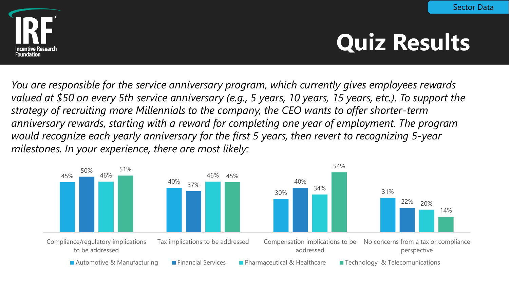

# **Quiz Results**

*You are responsible for the service anniversary program, which currently gives employees rewards valued at \$50 on every 5th service anniversary (e.g., 5 years, 10 years, 15 years, etc.). To support the strategy of recruiting more Millennials to the company, the CEO wants to offer shorter-term anniversary rewards, starting with a reward for completing one year of employment. The program would recognize each yearly anniversary for the first 5 years, then revert to recognizing 5-year milestones. In your experience, there are most likely:*

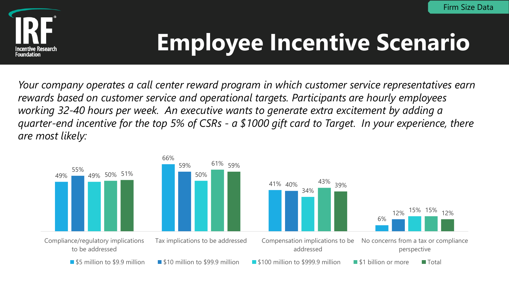

# **Employee Incentive Scenario**

*Your company operates a call center reward program in which customer service representatives earn rewards based on customer service and operational targets. Participants are hourly employees working 32-40 hours per week. An executive wants to generate extra excitement by adding a quarter-end incentive for the top 5% of CSRs - a \$1000 gift card to Target. In your experience, there are most likely:*

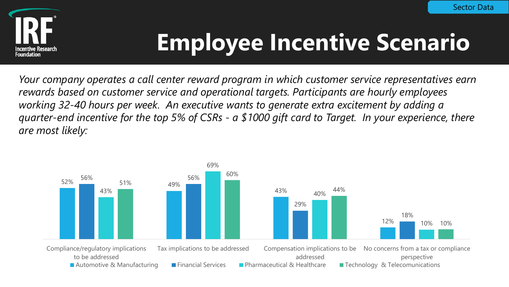

# **Employee Incentive Scenario**

*Your company operates a call center reward program in which customer service representatives earn rewards based on customer service and operational targets. Participants are hourly employees working 32-40 hours per week. An executive wants to generate extra excitement by adding a quarter-end incentive for the top 5% of CSRs - a \$1000 gift card to Target. In your experience, there are most likely:*

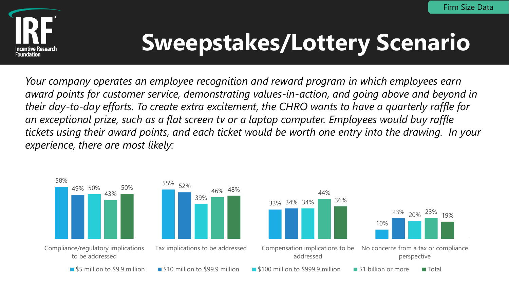

# **Sweepstakes/Lottery Scenario**

*Your company operates an employee recognition and reward program in which employees earn award points for customer service, demonstrating values-in-action, and going above and beyond in their day-to-day efforts. To create extra excitement, the CHRO wants to have a quarterly raffle for an exceptional prize, such as a flat screen tv or a laptop computer. Employees would buy raffle tickets using their award points, and each ticket would be worth one entry into the drawing. In your experience, there are most likely:*

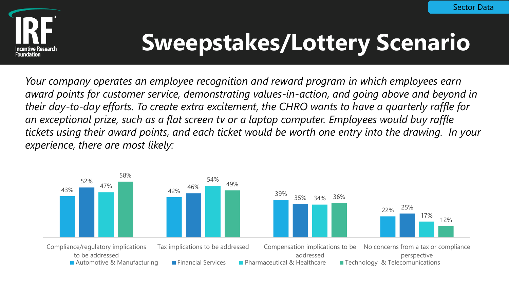

# **Sweepstakes/Lottery Scenario**

*Your company operates an employee recognition and reward program in which employees earn award points for customer service, demonstrating values-in-action, and going above and beyond in their day-to-day efforts. To create extra excitement, the CHRO wants to have a quarterly raffle for an exceptional prize, such as a flat screen tv or a laptop computer. Employees would buy raffle tickets using their award points, and each ticket would be worth one entry into the drawing. In your experience, there are most likely:*

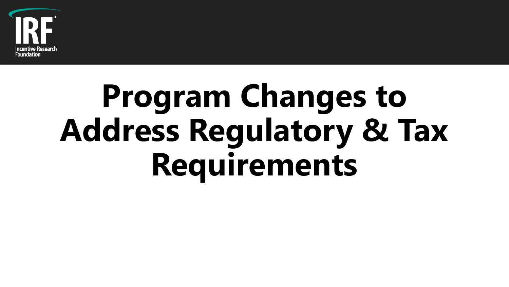

# **Program Changes to Address Regulatory & Tax Requirements**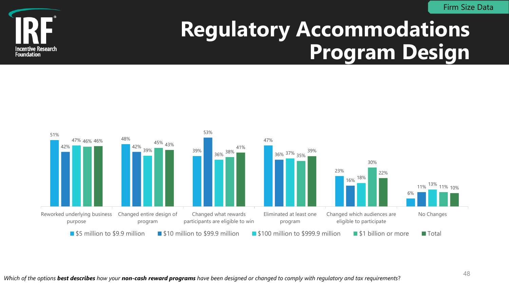Firm Size Data



#### **Regulatory Accommodations Program Design**

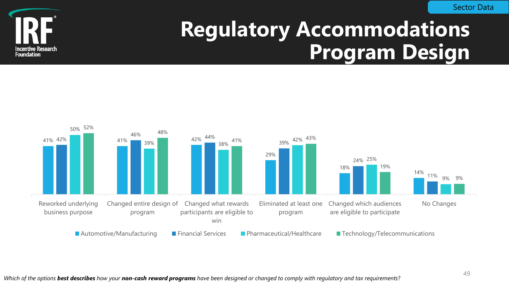

#### **Regulatory Accommodations Program Design**

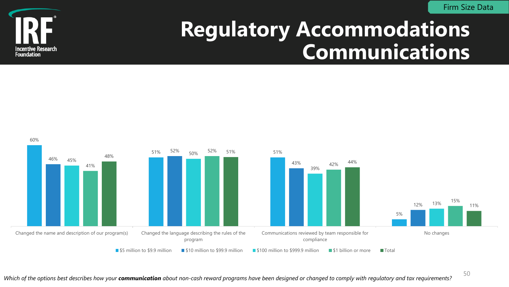Firm Size Data



#### **Regulatory Accommodations Communications**



*Which of the options best describes how your communication about non-cash reward programs have been designed or changed to comply with regulatory and tax requirements?*

50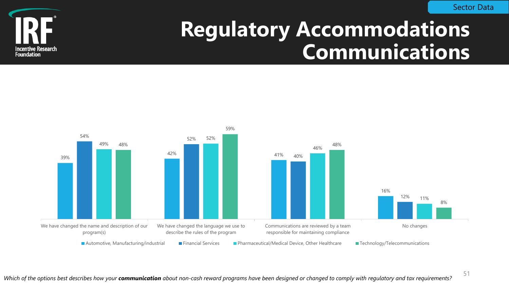

#### **Regulatory Accommodations Communications**



*Which of the options best describes how your communication about non-cash reward programs have been designed or changed to comply with regulatory and tax requirements?*

51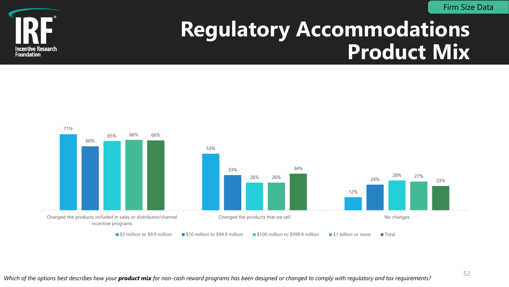Firm Size Data



#### **Regulatory Accommodations Product Mix**

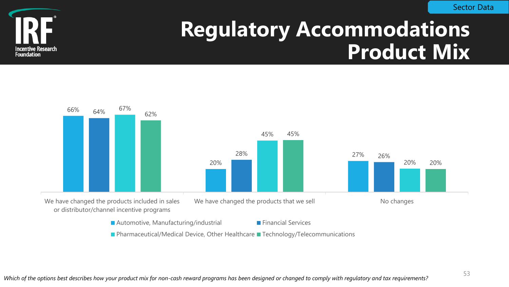

#### **Regulatory Accommodations Product Mix**

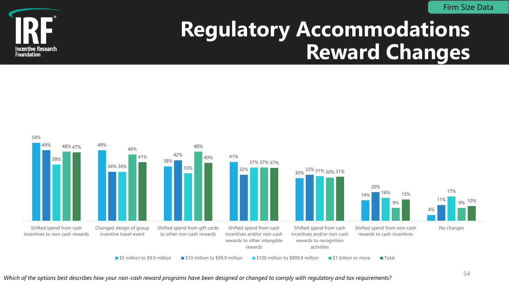Firm Size Data



#### **Regulatory Accommodations Reward Changes**

![](_page_53_Figure_3.jpeg)

<sup>54</sup> *Which of the options best describes how your non-cash reward programs have been designed or changed to comply with regulatory and tax requirements?*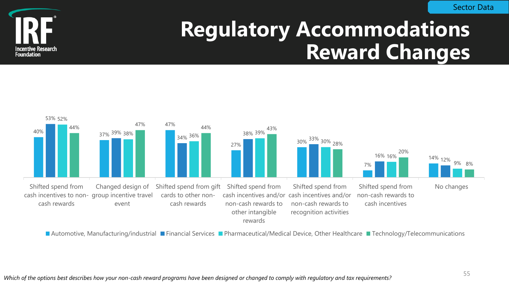![](_page_54_Picture_1.jpeg)

#### **Regulatory Accommodations Reward Changes**

![](_page_54_Figure_3.jpeg)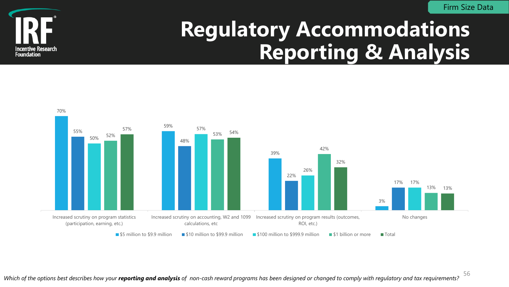Firm Size Data

![](_page_55_Picture_1.jpeg)

#### **Regulatory Accommodations Reporting & Analysis**

![](_page_55_Figure_3.jpeg)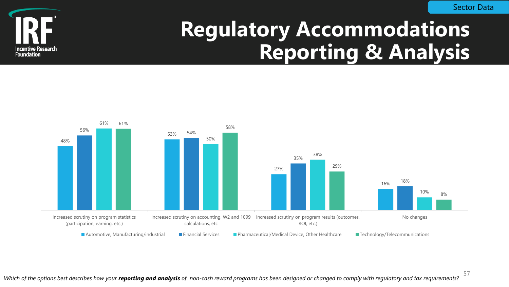Sector Data

![](_page_56_Picture_1.jpeg)

#### **Regulatory Accommodations Reporting & Analysis**

![](_page_56_Figure_3.jpeg)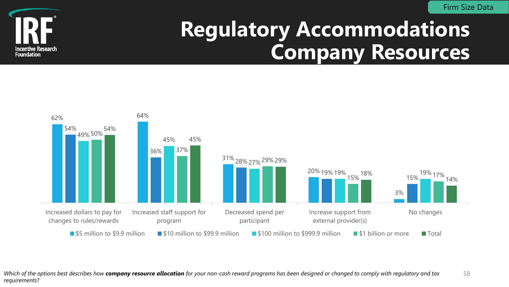Firm Size Data

![](_page_57_Picture_1.jpeg)

#### **Regulatory Accommodations Company Resources**

![](_page_57_Figure_3.jpeg)

Which of the options best describes how **company resource allocation** for your non-cash reward programs has been designed or changed to comply with regulatory and tax 58 *requirements*?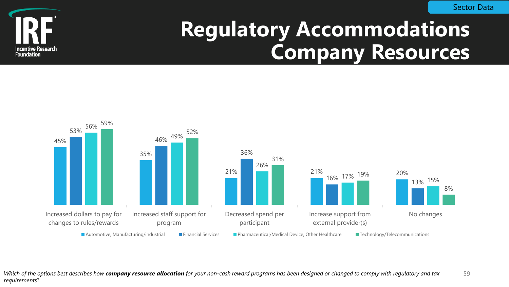Sector Data

![](_page_58_Picture_1.jpeg)

#### **Regulatory Accommodations Company Resources**

![](_page_58_Figure_3.jpeg)

Which of the options best describes how **company resource allocation** for your non-cash reward programs has been designed or changed to comply with regulatory and tax 59 *requirements*?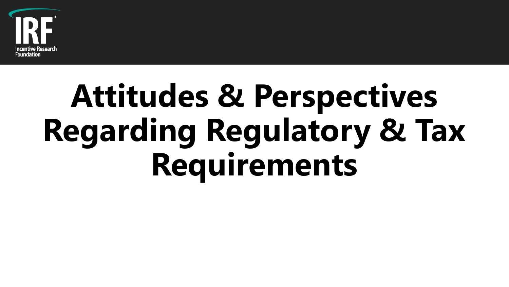![](_page_59_Picture_0.jpeg)

# **Attitudes & Perspectives Regarding Regulatory & Tax Requirements**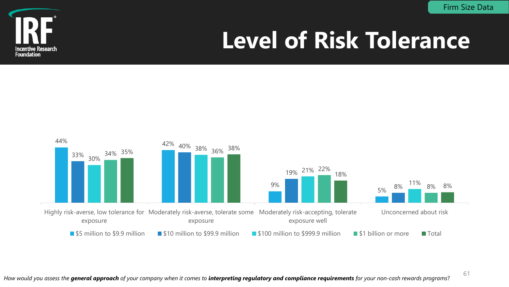Firm Size Data

61

![](_page_60_Picture_1.jpeg)

# **Level of Risk Tolerance**

![](_page_60_Figure_3.jpeg)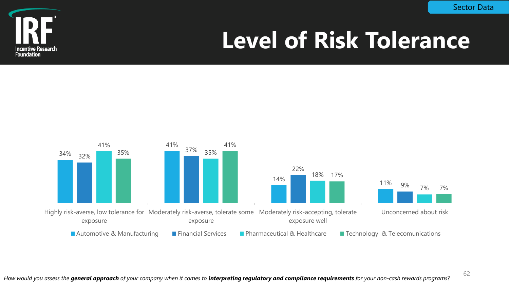![](_page_61_Picture_1.jpeg)

# **Level of Risk Tolerance**

![](_page_61_Figure_3.jpeg)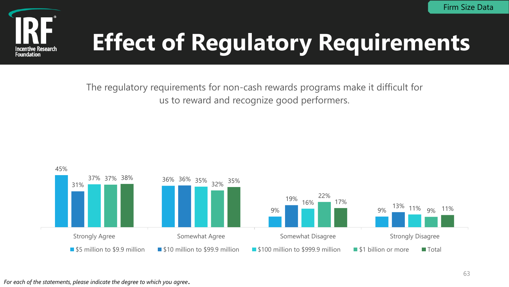![](_page_62_Picture_1.jpeg)

The regulatory requirements for non-cash rewards programs make it difficult for us to reward and recognize good performers.

![](_page_62_Figure_4.jpeg)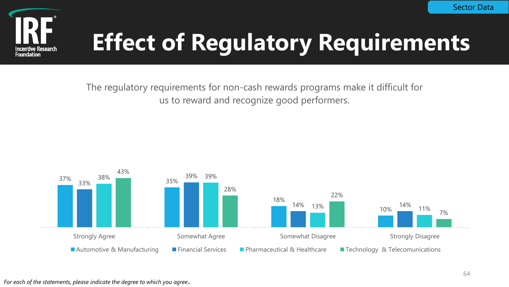![](_page_63_Picture_1.jpeg)

The regulatory requirements for non-cash rewards programs make it difficult for us to reward and recognize good performers.

![](_page_63_Figure_4.jpeg)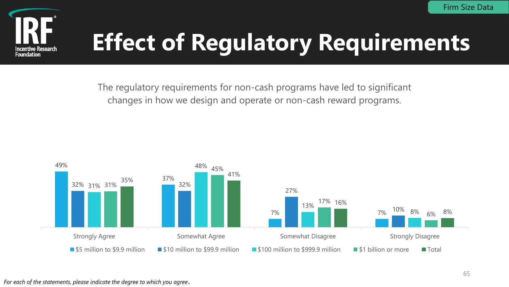![](_page_64_Picture_1.jpeg)

The regulatory requirements for non-cash programs have led to significant changes in how we design and operate or non-cash reward programs.

![](_page_64_Figure_4.jpeg)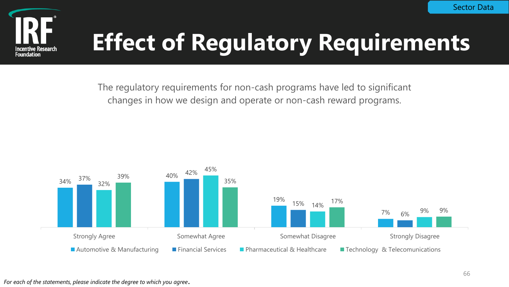![](_page_65_Picture_1.jpeg)

The regulatory requirements for non-cash programs have led to significant changes in how we design and operate or non-cash reward programs.

![](_page_65_Figure_4.jpeg)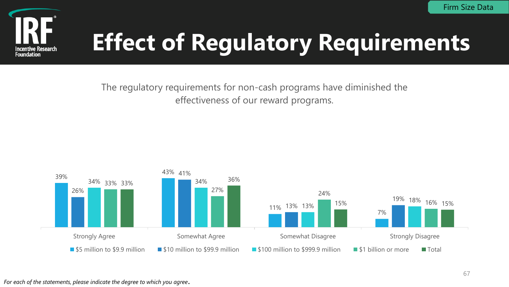![](_page_66_Picture_1.jpeg)

The regulatory requirements for non-cash programs have diminished the effectiveness of our reward programs.

![](_page_66_Figure_4.jpeg)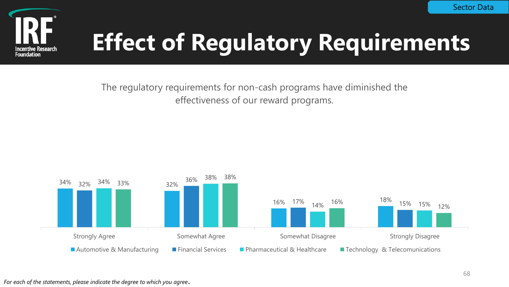![](_page_67_Picture_1.jpeg)

The regulatory requirements for non-cash programs have diminished the effectiveness of our reward programs.

![](_page_67_Figure_4.jpeg)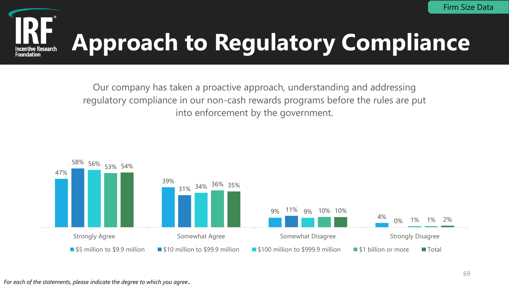### **Approach to Regulatory Compliance Incentive Research**

Our company has taken a proactive approach, understanding and addressing regulatory compliance in our non-cash rewards programs before the rules are put into enforcement by the government.

![](_page_68_Figure_3.jpeg)